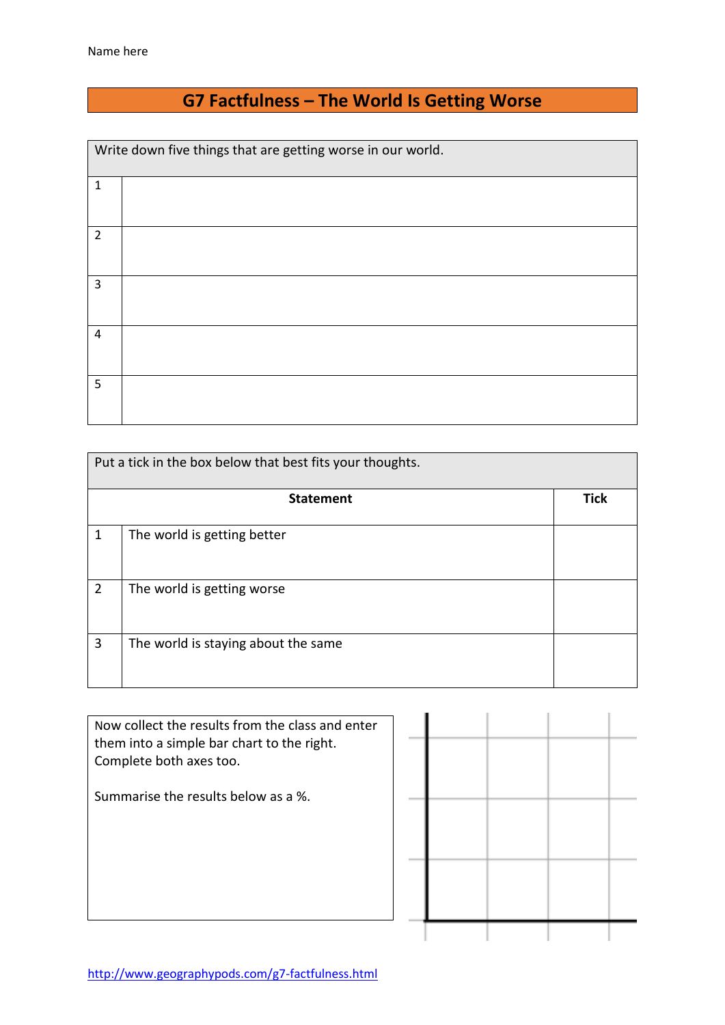## **G7 Factfulness – The World Is Getting Worse**

Write down five things that are getting worse in our world.

| $\mathbf 1$     |  |
|-----------------|--|
| $\overline{2}$  |  |
| $\overline{3}$  |  |
| $\overline{4}$  |  |
| $5\phantom{.0}$ |  |

| Put a tick in the box below that best fits your thoughts. |                                     |             |  |  |  |
|-----------------------------------------------------------|-------------------------------------|-------------|--|--|--|
|                                                           | <b>Statement</b>                    | <b>Tick</b> |  |  |  |
| 1                                                         | The world is getting better         |             |  |  |  |
| $\overline{2}$                                            | The world is getting worse          |             |  |  |  |
| 3                                                         | The world is staying about the same |             |  |  |  |

| Now collect the results from the class and enter<br>them into a simple bar chart to the right.<br>Complete both axes too. |  |  |  |
|---------------------------------------------------------------------------------------------------------------------------|--|--|--|
| Summarise the results below as a %.                                                                                       |  |  |  |
|                                                                                                                           |  |  |  |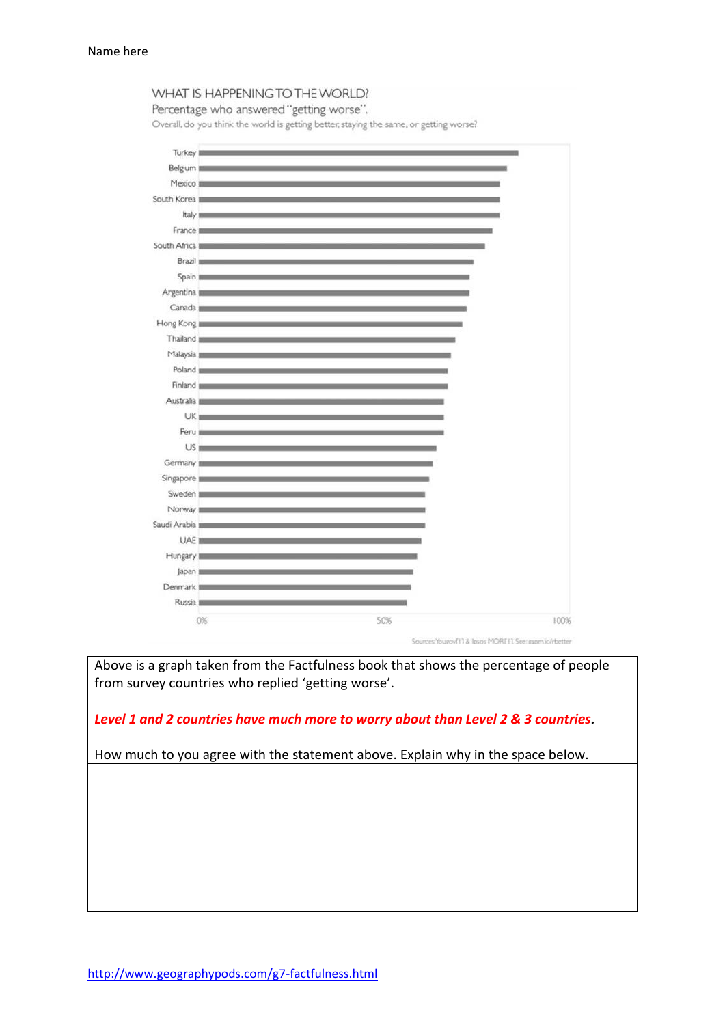

Percentage who answered "getting worse".

Overall, do you think the world is getting better, staying the same, or getting worse?



Above is a graph taken from the Factfulness book that shows the percentage of people from survey countries who replied 'getting worse'.

*Level 1 and 2 countries have much more to worry about than Level 2 & 3 countries.* 

How much to you agree with the statement above. Explain why in the space below.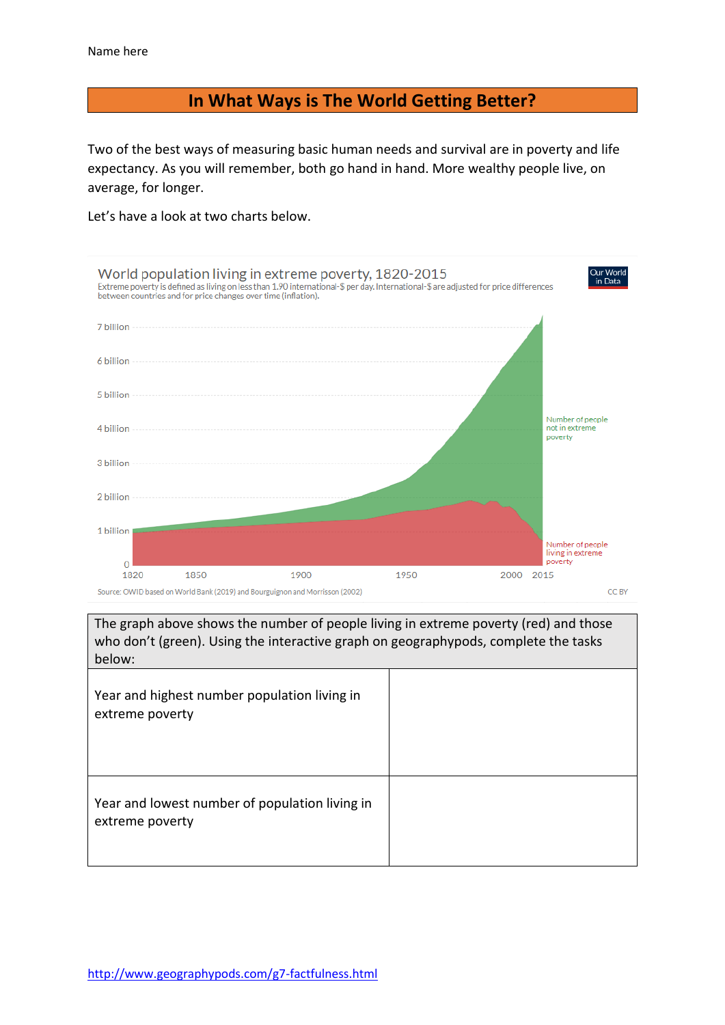## **In What Ways is The World Getting Better?**

Two of the best ways of measuring basic human needs and survival are in poverty and life expectancy. As you will remember, both go hand in hand. More wealthy people live, on average, for longer.

Let's have a look at two charts below.



The graph above shows the number of people living in extreme poverty (red) and those who don't (green). Using the interactive graph on geographypods, complete the tasks below: Year and highest number population living in extreme poverty Year and lowest number of population living in extreme poverty